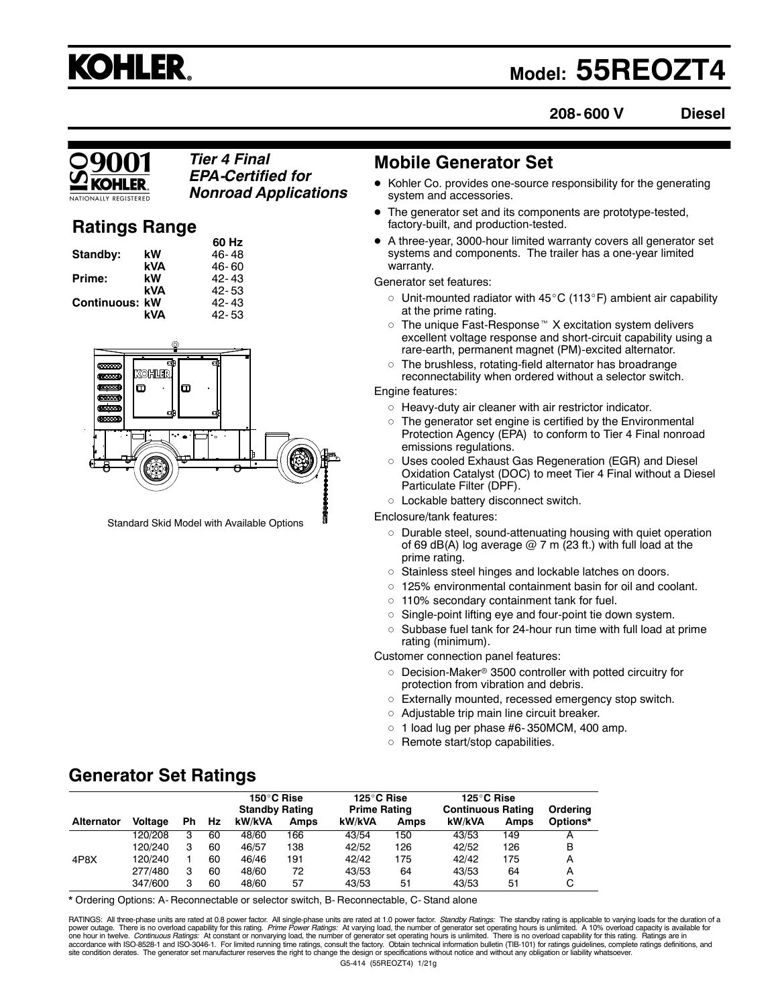

## **Model: 55REOZT4**

**208- 600 V Diesel**

## *Tier 4 Final EPA-Certified for Nonroad Applications*

## **Ratings Range**

|                |     | 60 Hz     |
|----------------|-----|-----------|
| Standby:       | kW  | 46-48     |
|                | kVA | 46-60     |
| Prime:         | kW  | $42 - 43$ |
|                | kVA | 42-53     |
| Continuous: kW |     | $42 - 43$ |
|                | kVA | $42 - 53$ |
|                |     |           |



Standard Skid Model with Available Options

## **Mobile Generator Set**

- Kohler Co. provides one-source responsibility for the generating system and accessories.
- The generator set and its components are prototype-tested, factory-built, and production-tested.
- A three-year, 3000-hour limited warranty covers all generator set systems and components. The trailer has a one-year limited warranty.

Generator set features:

- $\circ~$  Unit-mounted radiator with 45°C (113°F) ambient air capability at the prime rating.
- $\circ~$  The unique Fast-Response  $^\text{\tiny{m}}$  X excitation system delivers excellent voltage response and short-circuit capability using a rare-earth, permanent magnet (PM)-excited alternator.
- $\circ$  The brushless, rotating-field alternator has broadrange reconnectability when ordered without a selector switch.

#### Engine features:

- Heavy-duty air cleaner with air restrictor indicator.
- $\circ~$  The generator set engine is certified by the Environmental Protection Agency (EPA) to conform to Tier 4 Final nonroad emissions regulations.
- Uses cooled Exhaust Gas Regeneration (EGR) and Diesel Oxidation Catalyst (DOC) to meet Tier 4 Final without a Diesel Particulate Filter (DPF).
- Lockable battery disconnect switch.

Enclosure/tank features:

- Durable steel, sound-attenuating housing with quiet operation of 69 dB(A) log average  $@$  7 m (23 ft.) with full load at the prime rating.
- Stainless steel hinges and lockable latches on doors.
- 125% environmental containment basin for oil and coolant.
- 110% secondary containment tank for fuel.
- Single-point lifting eye and four-point tie down system.
- $\circ~$  Subbase fuel tank for 24-hour run time with full load at prime rating (minimum).

Customer connection panel features:

- $\circ~$  Decision-Maker® 3500 controller with potted circuitry for protection from vibration and debris.
- Externally mounted, recessed emergency stop switch.
- Adjustable trip main line circuit breaker.
- $\circ$  1 load lug per phase #6-350MCM, 400 amp.
- $\circ~$  Remote start/stop capabilities.

## **Generator Set Ratings**

|                   |         |     |    | 150°C Rise<br><b>Standby Rating</b> |             | 125°C Rise<br><b>Prime Rating</b> |      | 125°C Rise<br><b>Continuous Rating</b> |      | Ordering |
|-------------------|---------|-----|----|-------------------------------------|-------------|-----------------------------------|------|----------------------------------------|------|----------|
| <b>Alternator</b> | Voltage | Ph. | Hz | kW/kVA                              | <b>Amps</b> | kW/kVA                            | Amps | kW/kVA                                 | Amps | Options* |
|                   | 120/208 | з   | 60 | 48/60                               | 166         | 43/54                             | 150  | 43/53                                  | 149  |          |
|                   | 120/240 | з   | 60 | 46/57                               | 138         | 42/52                             | 126  | 42/52                                  | 126  | в        |
| 4P8X              | 120/240 |     | 60 | 46/46                               | 191         | 42/42                             | 175  | 42/42                                  | 175  | А        |
|                   | 277/480 | з   | 60 | 48/60                               | 72          | 43/53                             | 64   | 43/53                                  | 64   | А        |
|                   | 347/600 | з   | 60 | 48/60                               | 57          | 43/53                             | 51   | 43/53                                  | 51   | С        |

\* Ordering Options: A- Reconnectable or selector switch, B- Reconnectable, C- Stand alone

G5-414 (55REOZT4) 1/21g RATINGS: All three-phase units are rated at 0.8 power factor. All single-phase units are rated at 1.0 power factor. Standby Ratings: The standby rating is applicable to varying loads for the duration of a power outage. There is no overload capability for this rating. *Prime Power Ratings:* At varying load, the number of generator set operating hours is unlimited. A 10% overload capacity is available for<br>one hour in twelve. accordance with ISO-8528-1 and ISO-3046-1. For limited running time ratings, consult the factory. Obtain technical information bulletin (TIB-101) for ratings guidelines, complete ratings definitions, and<br>site condition der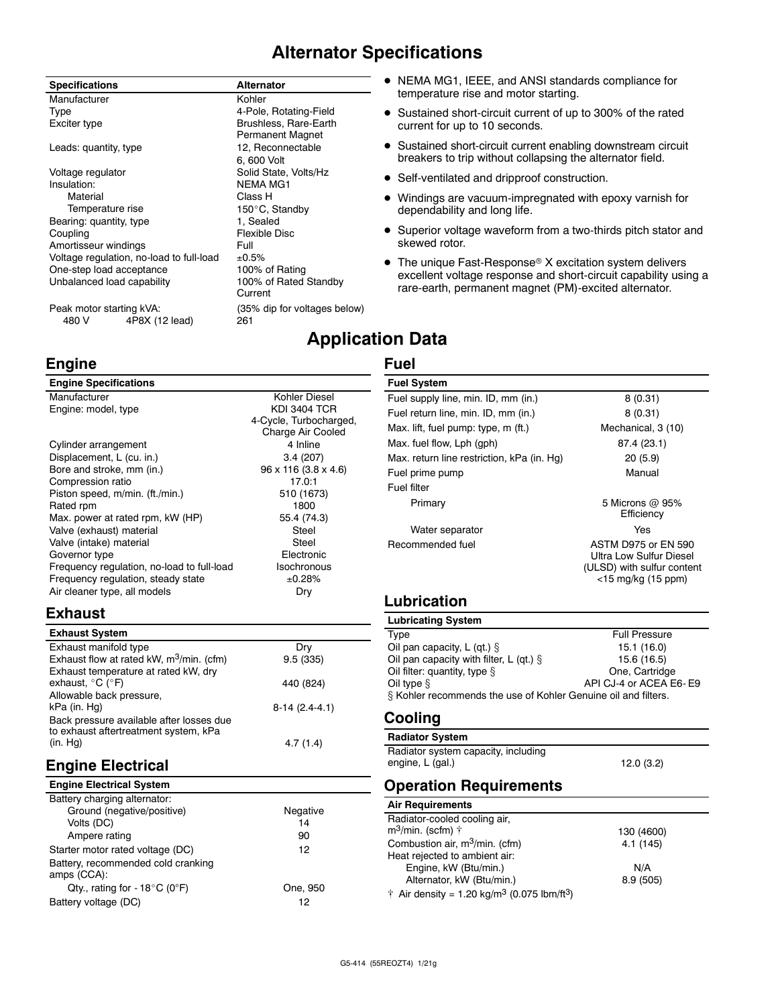## **Alternator Specifications**

#### **Specifications Alternator** Manufacturer **Kohler** Kohler Type **1998**<br>Exciter type 1998 **Exciter** type 1999 **Brushless, Rare-Earth** Brushless, Rare-Earth Permanent Magnet Leads: quantity, type 12, Reconnectable 6, 600 Volt Voltage regulator Solid State, Volts/Hz **NEMA MG1** Material Class H<br>Temperature rise Temperature of the Material Solid 150°C, Standby Bearing: quantity, type 1, Sealed Coupling<br>
Amortisseur windings

Full
Full
Coupling
Coupling
Coupling
Coupling
Coupling
Coupling
Coupling
Coupling
Coupling
Coupling
Coupling
Coupling
Coupling
Coupling
Coupling
Coupling
Coupling
Coupling
Coupling
Coupling Amortisseur windings<br>Voltage regulation, no-load to full-load  $\pm 0.5\%$ Voltage regulation, no-load to full-load  $\pm 0.5\%$ <br>One-step load acceptance 100% of Rating One-step load acceptance Unbalanced load capability 100% of Rated Standby Current

Peak motor starting kVA: (35% dip for voltages below) 480 V 4P8X (12 lead) 261

## **Engine**

## **Engine Specifications**

| Manufacturer                               | Kohler Diesel                    |
|--------------------------------------------|----------------------------------|
| Engine: model, type                        | <b>KDI 3404 TCR</b>              |
|                                            | 4-Cycle, Turbocharged            |
|                                            | Charge Air Cooled                |
| Cylinder arrangement                       | 4 Inline                         |
| Displacement, L (cu. in.)                  | 3.4(207)                         |
| Bore and stroke, mm (in.)                  | $96 \times 116 (3.8 \times 4.6)$ |
| Compression ratio                          | 17.0:1                           |
| Piston speed, m/min. (ft./min.)            | 510 (1673)                       |
| Rated rpm                                  | 1800                             |
| Max. power at rated rpm, kW (HP)           | 55.4 (74.3)                      |
| Valve (exhaust) material                   | Steel                            |
| Valve (intake) material                    | Steel                            |
| Governor type                              | Electronic                       |
| Frequency regulation, no-load to full-load | Isochronous                      |
| Frequency regulation, steady state         | ±0.28%                           |
| Air cleaner type, all models               | Dry                              |
|                                            |                                  |

## **Exhaust**

| <b>Exhaust System</b>                       |                 |
|---------------------------------------------|-----------------|
| Exhaust manifold type                       | Dry             |
| Exhaust flow at rated kW, $m^3$ /min. (cfm) | 9.5(335)        |
| Exhaust temperature at rated kW, dry        |                 |
| exhaust, $^{\circ}$ C ( $^{\circ}$ F)       | 440 (824)       |
| Allowable back pressure,                    |                 |
| kPa (in. Hg)                                | $8-14(2.4-4.1)$ |
| Back pressure available after losses due    |                 |
| to exhaust aftertreatment system, kPa       |                 |
| (in. Hq)                                    | 4.7(1.4)        |

## **Engine Electrical**

| Negative |
|----------|
| 14       |
| 90       |
| 12       |
|          |
| One, 950 |
| 12       |
|          |

- NEMA MG1, IEEE, and ANSI standards compliance for temperature rise and motor starting.
- Sustained short-circuit current of up to 300% of the rated current for up to 10 seconds.
- Sustained short-circuit current enabling downstream circuit breakers to trip without collapsing the alternator field.
- Self-ventilated and dripproof construction.
- Windings are vacuum-impregnated with epoxy varnish for dependability and long life.
- Superior voltage waveform from a two-thirds pitch stator and skewed rotor.
- The unique Fast-Response® X excitation system delivers excellent voltage response and short-circuit capability using a rare-earth, permanent magnet (PM)-excited alternator.

## **Application Data**

## **Fuel**

| <b>Fuel System</b>                         |                                                                                                              |
|--------------------------------------------|--------------------------------------------------------------------------------------------------------------|
| Fuel supply line, min. ID, mm (in.)        | 8(0.31)                                                                                                      |
| Fuel return line, min. ID, mm (in.)        | 8(0.31)                                                                                                      |
| Max. lift, fuel pump: type, m (ft.)        | Mechanical, 3 (10)                                                                                           |
| Max. fuel flow, Lph (gph)                  | 87.4 (23.1)                                                                                                  |
| Max. return line restriction, kPa (in. Hg) | 20(5.9)                                                                                                      |
| Fuel prime pump                            | Manual                                                                                                       |
| Fuel filter                                |                                                                                                              |
| Primary                                    | 5 Microns @ 95%<br>Efficiency                                                                                |
| Water separator                            | Yes                                                                                                          |
| Recommended fuel                           | <b>ASTM D975 or EN 590</b><br>Ultra Low Sulfur Diesel<br>(ULSD) with sulfur content<br>$<$ 15 mg/kg (15 ppm) |
| Lubrication                                |                                                                                                              |

| <b>Lubricating System</b>                                      |                        |
|----------------------------------------------------------------|------------------------|
| Type                                                           | <b>Full Pressure</b>   |
| Oil pan capacity, L (qt.) $\S$                                 | 15.1 (16.0)            |
| Oil pan capacity with filter, L (qt.) $\S$                     | 15.6 (16.5)            |
| Oil filter: quantity, type $\S$                                | One, Cartridge         |
| Oil type $§$                                                   | API CJ-4 or ACEA E6-E9 |
| § Kohler recommends the use of Kohler Genuine oil and filters. |                        |

## **Cooling**

**Radiator System** Radiator system capacity, including

engine, L (gal.) 12.0 (3.2)

## **Operation Requirements**

| <b>Air Requirements</b>                                                     |            |
|-----------------------------------------------------------------------------|------------|
| Radiator-cooled cooling air,                                                |            |
| $m^3$ /min. (scfm) $\uparrow$                                               | 130 (4600) |
| Combustion air, $m^3/m$ in. (cfm)                                           | 4.1 (145)  |
| Heat rejected to ambient air:                                               |            |
| Engine, kW (Btu/min.)                                                       | N/A        |
| Alternator, kW (Btu/min.)                                                   | 8.9 (505)  |
| $\dagger$ Air density = 1.20 kg/m <sup>3</sup> (0.075 lbm/ft <sup>3</sup> ) |            |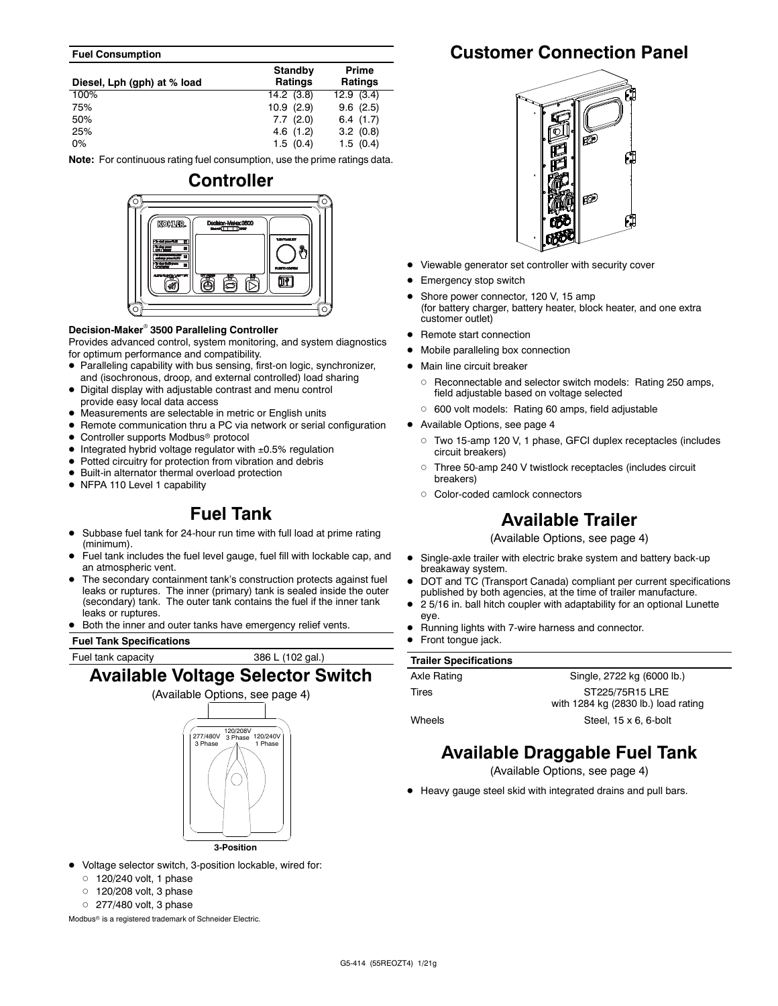#### **Fuel Consumption**

| Diesel, Lph (gph) at % load | Standby<br><b>Ratings</b> | Prime<br>Ratings |
|-----------------------------|---------------------------|------------------|
| 100%                        | 14.2(3.8)                 | 12.9(3.4)        |
| 75%                         | 10.9(2.9)                 | 9.6(2.5)         |
| 50%                         | 7.7(2.0)                  | 6.4(1.7)         |
| 25%                         | 4.6(1.2)                  | 3.2(0.8)         |
| $0\%$                       | 1.5(0.4)                  | 1.5(0.4)         |

**Note:** For continuous rating fuel consumption, use the prime ratings data.



#### **Decision-Maker 3500 Paralleling Controller**

Provides advanced control, system monitoring, and system diagnostics for optimum performance and compatibility.

- Paralleling capability with bus sensing, first-on logic, synchronizer, and (isochronous, droop, and external controlled) load sharing
- Digital display with adjustable contrast and menu control provide easy local data access
- Measurements are selectable in metric or English units
- Remote communication thru a PC via network or serial configuration
- Controller supports Modbus<sup>®</sup> protocol
- $\bullet$  Integrated hybrid voltage regulator with  $\pm 0.5\%$  regulation
- Potted circuitry for protection from vibration and debris
- Built-in alternator thermal overload protection
- NFPA 110 Level 1 capability

## **Fuel Tank**

- Subbase fuel tank for 24-hour run time with full load at prime rating (minimum).
- Fuel tank includes the fuel level gauge, fuel fill with lockable cap, and an atmospheric vent.
- The secondary containment tank's construction protects against fuel leaks or ruptures. The inner (primary) tank is sealed inside the outer (secondary) tank. The outer tank contains the fuel if the inner tank leaks or ruptures.
- Both the inner and outer tanks have emergency relief vents.

**Fuel Tank Specifications**

Fuel tank capacity 386 L (102 gal.)

## **Available Voltage Selector Switch**



**3-Position**

- Voltage selector switch, 3-position lockable, wired for:
	- $\circ$  120/240 volt, 1 phase
	- $\circ$   $\,$  120/208 volt, 3 phase
	- $\circ$  277/480 volt, 3 phase

Modbus<sup>®</sup> is a registered trademark of Schneider Electric.

## **Customer Connection Panel**



- Viewable generator set controller with security cover
- Emergency stop switch
- Shore power connector, 120 V, 15 amp (for battery charger, battery heater, block heater, and one extra customer outlet)
- Remote start connection
- Mobile paralleling box connection
- Main line circuit breaker
	- Reconnectable and selector switch models: Rating 250 amps, field adjustable based on voltage selected
	- 600 volt models: Rating 60 amps, field adjustable
- Available Options, see page 4
	- Two 15-amp 120 V, 1 phase, GFCI duplex receptacles (includes circuit breakers)
	- $\circ$  Three 50-amp 240 V twistlock receptacles (includes circuit breakers)
	- Color-coded camlock connectors

## **Available Trailer**

(Available Options, see page 4)

- Single-axle trailer with electric brake system and battery back-up breakaway system.
- DOT and TC (Transport Canada) compliant per current specifications published by both agencies, at the time of trailer manufacture.
- 2 5/16 in. ball hitch coupler with adaptability for an optional Lunette eye.
- Running lights with 7-wire harness and connector.
- Front tongue jack.

| <b>Trailer Specifications</b> |  |
|-------------------------------|--|
|-------------------------------|--|

| Axle Rating | Single, 2722 kg (6000 lb.)          |
|-------------|-------------------------------------|
| Tires       | ST225/75R15 LRE                     |
|             | with 1284 kg (2830 lb.) load rating |
| Wheels      | Steel, $15 \times 6$ , 6-bolt       |

## **Available Draggable Fuel Tank**

(Available Options, see page 4)

Heavy gauge steel skid with integrated drains and pull bars.